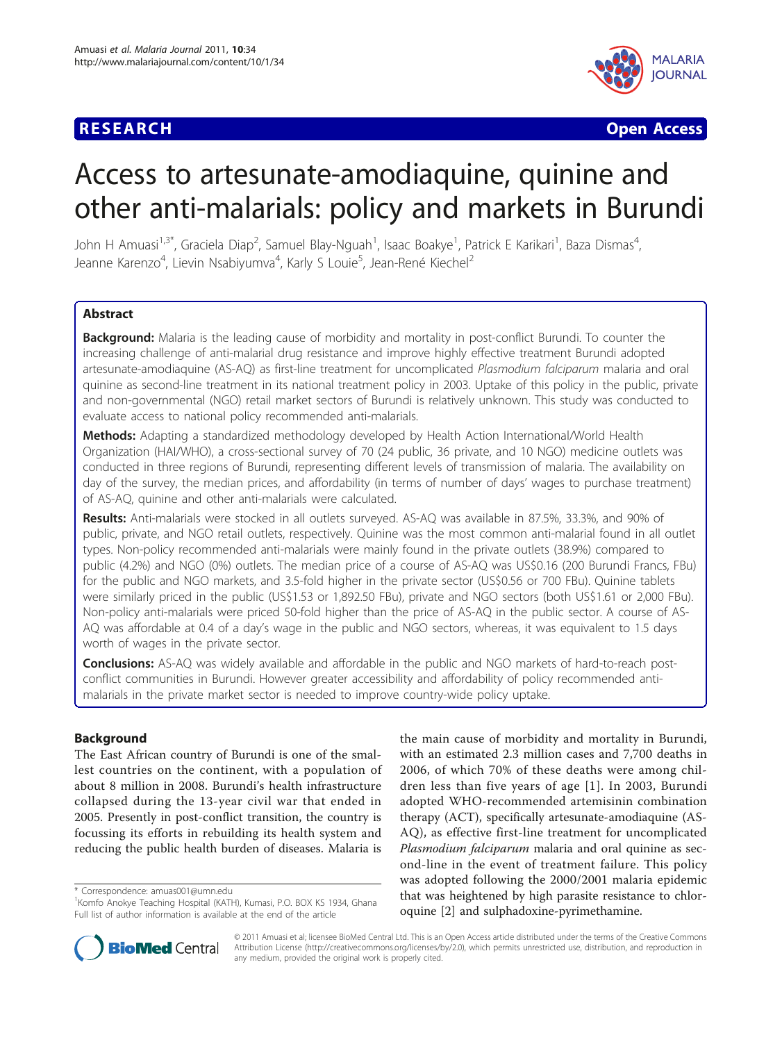## **RESEARCH CONTROL** CONTROL CONTROL CONTROL CONTROL CONTROL CONTROL CONTROL CONTROL CONTROL CONTROL CONTROL CONTROL CONTROL CONTROL CONTROL CONTROL CONTROL CONTROL CONTROL CONTROL CONTROL CONTROL CONTROL CONTROL CONTROL CON



# Access to artesunate-amodiaquine, quinine and other anti-malarials: policy and markets in Burundi

John H Amuasi<sup>1,3\*</sup>, Graciela Diap<sup>2</sup>, Samuel Blay-Nguah<sup>1</sup>, Isaac Boakye<sup>1</sup>, Patrick E Karikari<sup>1</sup>, Baza Dismas<sup>4</sup> , Jeanne Karenzo<sup>4</sup>, Lievin Nsabiyumva<sup>4</sup>, Karly S Louie<sup>5</sup>, Jean-René Kiechel<sup>2</sup>

## **Abstract**

Background: Malaria is the leading cause of morbidity and mortality in post-conflict Burundi. To counter the increasing challenge of anti-malarial drug resistance and improve highly effective treatment Burundi adopted artesunate-amodiaquine (AS-AQ) as first-line treatment for uncomplicated Plasmodium falciparum malaria and oral quinine as second-line treatment in its national treatment policy in 2003. Uptake of this policy in the public, private and non-governmental (NGO) retail market sectors of Burundi is relatively unknown. This study was conducted to evaluate access to national policy recommended anti-malarials.

Methods: Adapting a standardized methodology developed by Health Action International/World Health Organization (HAI/WHO), a cross-sectional survey of 70 (24 public, 36 private, and 10 NGO) medicine outlets was conducted in three regions of Burundi, representing different levels of transmission of malaria. The availability on day of the survey, the median prices, and affordability (in terms of number of days' wages to purchase treatment) of AS-AQ, quinine and other anti-malarials were calculated.

Results: Anti-malarials were stocked in all outlets surveyed. AS-AQ was available in 87.5%, 33.3%, and 90% of public, private, and NGO retail outlets, respectively. Quinine was the most common anti-malarial found in all outlet types. Non-policy recommended anti-malarials were mainly found in the private outlets (38.9%) compared to public (4.2%) and NGO (0%) outlets. The median price of a course of AS-AQ was US\$0.16 (200 Burundi Francs, FBu) for the public and NGO markets, and 3.5-fold higher in the private sector (US\$0.56 or 700 FBu). Quinine tablets were similarly priced in the public (US\$1.53 or 1,892.50 FBu), private and NGO sectors (both US\$1.61 or 2,000 FBu). Non-policy anti-malarials were priced 50-fold higher than the price of AS-AQ in the public sector. A course of AS-AQ was affordable at 0.4 of a day's wage in the public and NGO sectors, whereas, it was equivalent to 1.5 days worth of wages in the private sector.

**Conclusions:** AS-AQ was widely available and affordable in the public and NGO markets of hard-to-reach postconflict communities in Burundi. However greater accessibility and affordability of policy recommended antimalarials in the private market sector is needed to improve country-wide policy uptake.

## Background

The East African country of Burundi is one of the smallest countries on the continent, with a population of about 8 million in 2008. Burundi's health infrastructure collapsed during the 13-year civil war that ended in 2005. Presently in post-conflict transition, the country is focussing its efforts in rebuilding its health system and reducing the public health burden of diseases. Malaria is

\* Correspondence: [amuas001@umn.edu](mailto:amuas001@umn.edu)

the main cause of morbidity and mortality in Burundi, with an estimated 2.3 million cases and 7,700 deaths in 2006, of which 70% of these deaths were among children less than five years of age [[1](#page-7-0)]. In 2003, Burundi adopted WHO-recommended artemisinin combination therapy (ACT), specifically artesunate-amodiaquine (AS-AQ), as effective first-line treatment for uncomplicated Plasmodium falciparum malaria and oral quinine as second-line in the event of treatment failure. This policy was adopted following the 2000/2001 malaria epidemic that was heightened by high parasite resistance to chloroquine [[2\]](#page-7-0) and sulphadoxine-pyrimethamine.



© 2011 Amuasi et al; licensee BioMed Central Ltd. This is an Open Access article distributed under the terms of the Creative Commons Attribution License [\(http://creativecommons.org/licenses/by/2.0](http://creativecommons.org/licenses/by/2.0)), which permits unrestricted use, distribution, and reproduction in any medium, provided the original work is properly cited.

<sup>&</sup>lt;sup>1</sup> Komfo Anokye Teaching Hospital (KATH), Kumasi, P.O. BOX KS 1934, Ghana Full list of author information is available at the end of the article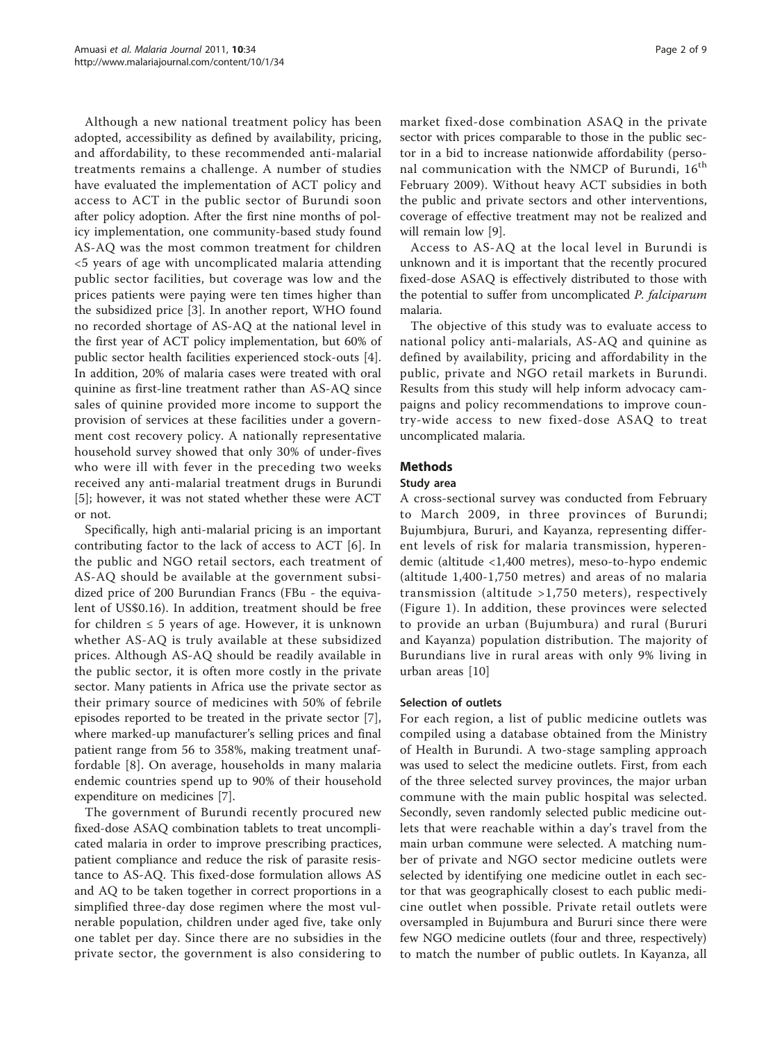Although a new national treatment policy has been adopted, accessibility as defined by availability, pricing, and affordability, to these recommended anti-malarial treatments remains a challenge. A number of studies have evaluated the implementation of ACT policy and access to ACT in the public sector of Burundi soon after policy adoption. After the first nine months of policy implementation, one community-based study found AS-AQ was the most common treatment for children <5 years of age with uncomplicated malaria attending public sector facilities, but coverage was low and the prices patients were paying were ten times higher than the subsidized price [[3\]](#page-7-0). In another report, WHO found no recorded shortage of AS-AQ at the national level in the first year of ACT policy implementation, but 60% of public sector health facilities experienced stock-outs [\[4](#page-7-0)]. In addition, 20% of malaria cases were treated with oral quinine as first-line treatment rather than AS-AQ since sales of quinine provided more income to support the provision of services at these facilities under a government cost recovery policy. A nationally representative household survey showed that only 30% of under-fives who were ill with fever in the preceding two weeks received any anti-malarial treatment drugs in Burundi [[5\]](#page-7-0); however, it was not stated whether these were ACT or not.

Specifically, high anti-malarial pricing is an important contributing factor to the lack of access to ACT [[6\]](#page-7-0). In the public and NGO retail sectors, each treatment of AS-AQ should be available at the government subsidized price of 200 Burundian Francs (FBu - the equivalent of US\$0.16). In addition, treatment should be free for children  $\leq 5$  years of age. However, it is unknown whether AS-AQ is truly available at these subsidized prices. Although AS-AQ should be readily available in the public sector, it is often more costly in the private sector. Many patients in Africa use the private sector as their primary source of medicines with 50% of febrile episodes reported to be treated in the private sector [\[7](#page-7-0)], where marked-up manufacturer's selling prices and final patient range from 56 to 358%, making treatment unaffordable [[8](#page-7-0)]. On average, households in many malaria endemic countries spend up to 90% of their household expenditure on medicines [\[7\]](#page-7-0).

The government of Burundi recently procured new fixed-dose ASAQ combination tablets to treat uncomplicated malaria in order to improve prescribing practices, patient compliance and reduce the risk of parasite resistance to AS-AQ. This fixed-dose formulation allows AS and AQ to be taken together in correct proportions in a simplified three-day dose regimen where the most vulnerable population, children under aged five, take only one tablet per day. Since there are no subsidies in the private sector, the government is also considering to

market fixed-dose combination ASAQ in the private sector with prices comparable to those in the public sector in a bid to increase nationwide affordability (personal communication with the NMCP of Burundi, 16<sup>th</sup> February 2009). Without heavy ACT subsidies in both the public and private sectors and other interventions, coverage of effective treatment may not be realized and will remain low [[9\]](#page-7-0).

Access to AS-AQ at the local level in Burundi is unknown and it is important that the recently procured fixed-dose ASAQ is effectively distributed to those with the potential to suffer from uncomplicated P. falciparum malaria.

The objective of this study was to evaluate access to national policy anti-malarials, AS-AQ and quinine as defined by availability, pricing and affordability in the public, private and NGO retail markets in Burundi. Results from this study will help inform advocacy campaigns and policy recommendations to improve country-wide access to new fixed-dose ASAQ to treat uncomplicated malaria.

## Methods

#### Study area

A cross-sectional survey was conducted from February to March 2009, in three provinces of Burundi; Bujumbjura, Bururi, and Kayanza, representing different levels of risk for malaria transmission, hyperendemic (altitude <1,400 metres), meso-to-hypo endemic (altitude 1,400-1,750 metres) and areas of no malaria transmission (altitude >1,750 meters), respectively (Figure [1](#page-2-0)). In addition, these provinces were selected to provide an urban (Bujumbura) and rural (Bururi and Kayanza) population distribution. The majority of Burundians live in rural areas with only 9% living in urban areas [\[10](#page-7-0)]

### Selection of outlets

For each region, a list of public medicine outlets was compiled using a database obtained from the Ministry of Health in Burundi. A two-stage sampling approach was used to select the medicine outlets. First, from each of the three selected survey provinces, the major urban commune with the main public hospital was selected. Secondly, seven randomly selected public medicine outlets that were reachable within a day's travel from the main urban commune were selected. A matching number of private and NGO sector medicine outlets were selected by identifying one medicine outlet in each sector that was geographically closest to each public medicine outlet when possible. Private retail outlets were oversampled in Bujumbura and Bururi since there were few NGO medicine outlets (four and three, respectively) to match the number of public outlets. In Kayanza, all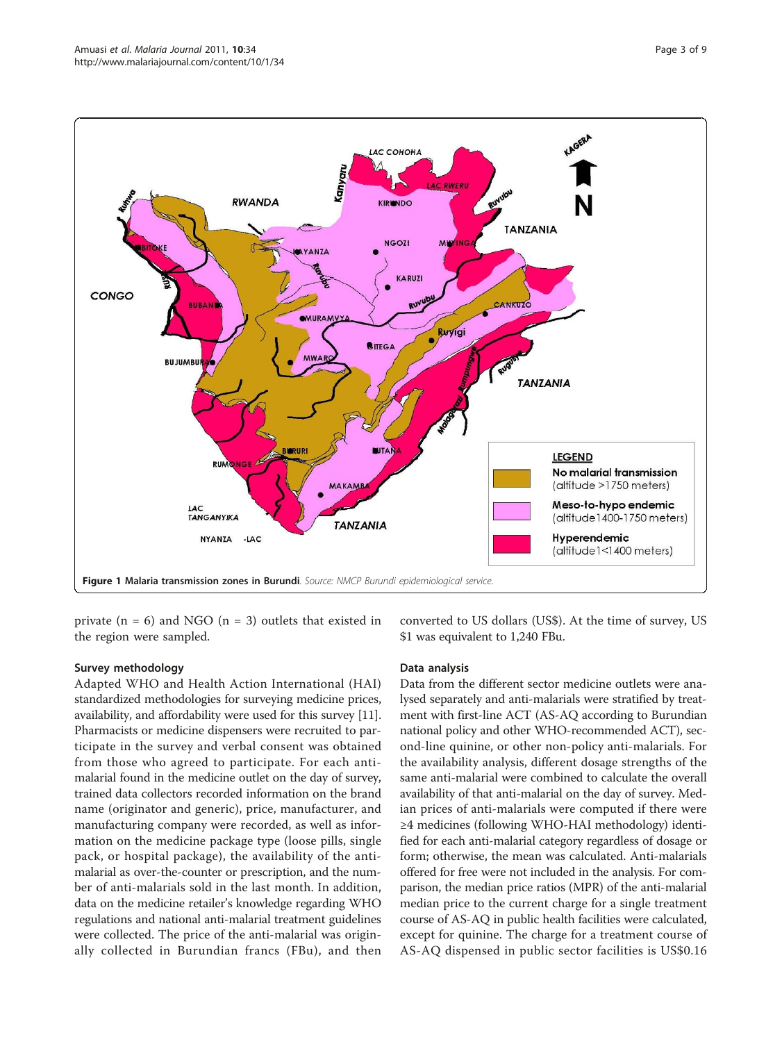<span id="page-2-0"></span>

private  $(n = 6)$  and NGO  $(n = 3)$  outlets that existed in the region were sampled.

converted to US dollars (US\$). At the time of survey, US \$1 was equivalent to 1,240 FBu.

#### Survey methodology

Adapted WHO and Health Action International (HAI) standardized methodologies for surveying medicine prices, availability, and affordability were used for this survey [[11](#page-7-0)]. Pharmacists or medicine dispensers were recruited to participate in the survey and verbal consent was obtained from those who agreed to participate. For each antimalarial found in the medicine outlet on the day of survey, trained data collectors recorded information on the brand name (originator and generic), price, manufacturer, and manufacturing company were recorded, as well as information on the medicine package type (loose pills, single pack, or hospital package), the availability of the antimalarial as over-the-counter or prescription, and the number of anti-malarials sold in the last month. In addition, data on the medicine retailer's knowledge regarding WHO regulations and national anti-malarial treatment guidelines were collected. The price of the anti-malarial was originally collected in Burundian francs (FBu), and then

#### Data analysis

Data from the different sector medicine outlets were analysed separately and anti-malarials were stratified by treatment with first-line ACT (AS-AQ according to Burundian national policy and other WHO-recommended ACT), second-line quinine, or other non-policy anti-malarials. For the availability analysis, different dosage strengths of the same anti-malarial were combined to calculate the overall availability of that anti-malarial on the day of survey. Median prices of anti-malarials were computed if there were ≥4 medicines (following WHO-HAI methodology) identified for each anti-malarial category regardless of dosage or form; otherwise, the mean was calculated. Anti-malarials offered for free were not included in the analysis. For comparison, the median price ratios (MPR) of the anti-malarial median price to the current charge for a single treatment course of AS-AQ in public health facilities were calculated, except for quinine. The charge for a treatment course of AS-AQ dispensed in public sector facilities is US\$0.16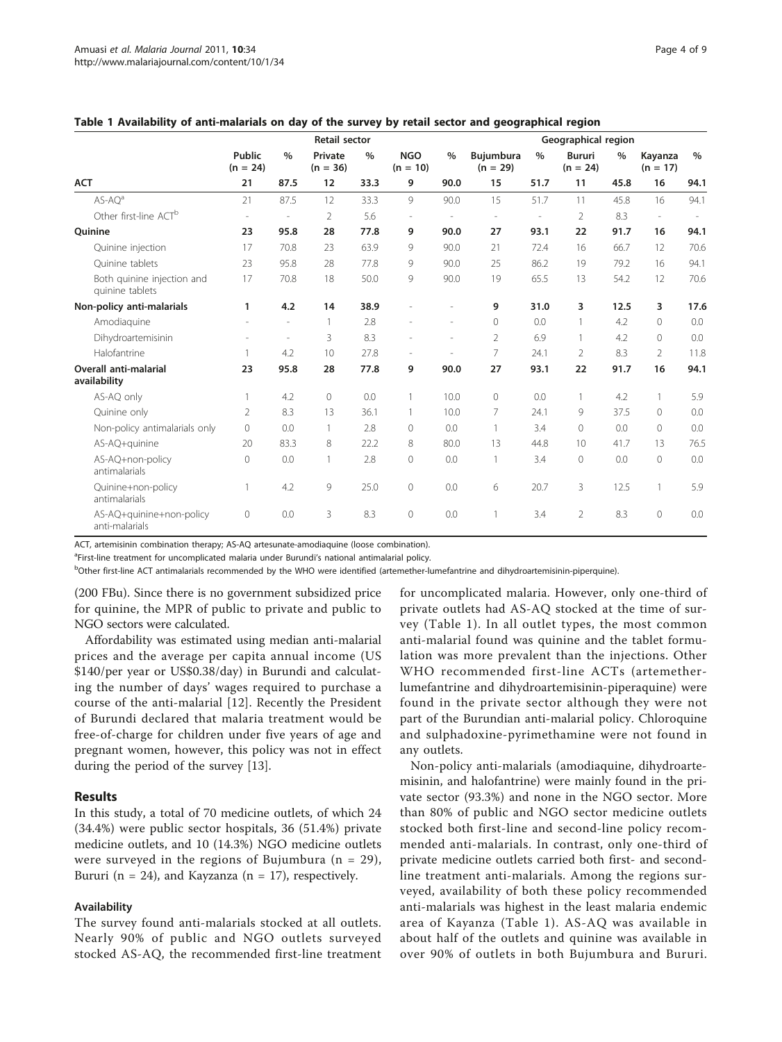|                                               | <b>Retail sector</b> |                          |                       |               |                          | Geographical region      |                                |                |                             |      |                       |               |
|-----------------------------------------------|----------------------|--------------------------|-----------------------|---------------|--------------------------|--------------------------|--------------------------------|----------------|-----------------------------|------|-----------------------|---------------|
|                                               | Public<br>$(n = 24)$ | $\frac{0}{0}$            | Private<br>$(n = 36)$ | $\frac{0}{0}$ | <b>NGO</b><br>$(n = 10)$ | $\%$                     | <b>Bujumbura</b><br>$(n = 29)$ | $\%$           | <b>Bururi</b><br>$(n = 24)$ | $\%$ | Kayanza<br>$(n = 17)$ | $\frac{0}{0}$ |
| <b>ACT</b>                                    | 21                   | 87.5                     | 12                    | 33.3          | 9                        | 90.0                     | 15                             | 51.7           | 11                          | 45.8 | 16                    | 94.1          |
| $AS-AOa$                                      | 21                   | 87.5                     | 12                    | 33.3          | 9                        | 90.0                     | 15                             | 51.7           | 11                          | 45.8 | 16                    | 94.1          |
| Other first-line ACT <sup>b</sup>             |                      | i,                       | $\overline{2}$        | 5.6           |                          |                          |                                | $\overline{a}$ | 2                           | 8.3  |                       |               |
| <b>Ouinine</b>                                | 23                   | 95.8                     | 28                    | 77.8          | 9                        | 90.0                     | 27                             | 93.1           | 22                          | 91.7 | 16                    | 94.1          |
| Quinine injection                             | 17                   | 70.8                     | 23                    | 63.9          | 9                        | 90.0                     | 21                             | 72.4           | 16                          | 66.7 | 12                    | 70.6          |
| Ouinine tablets                               | 23                   | 95.8                     | 28                    | 77.8          | 9                        | 90.0                     | 25                             | 86.2           | 19                          | 79.2 | 16                    | 94.1          |
| Both quinine injection and<br>quinine tablets | 17                   | 70.8                     | 18                    | 50.0          | 9                        | 90.0                     | 19                             | 65.5           | 13                          | 54.2 | 12                    | 70.6          |
| Non-policy anti-malarials                     | 1                    | 4.2                      | 14                    | 38.9          |                          |                          | 9                              | 31.0           | 3                           | 12.5 | 3                     | 17.6          |
| Amodiaguine                                   |                      | i,                       | $\mathbf{1}$          | 2.8           |                          | J.                       | $\circ$                        | 0.0            | $\mathbf{1}$                | 4.2  | $\Omega$              | 0.0           |
| Dihydroartemisinin                            |                      | $\overline{\phantom{a}}$ | 3                     | 8.3           |                          | $\overline{\phantom{a}}$ | $\overline{2}$                 | 6.9            | $\mathbf{1}$                | 4.2  | $\Omega$              | 0.0           |
| Halofantrine                                  |                      | 4.2                      | 10                    | 27.8          |                          |                          | 7                              | 24.1           | 2                           | 8.3  | $\mathcal{P}$         | 11.8          |
| <b>Overall anti-malarial</b><br>availability  | 23                   | 95.8                     | 28                    | 77.8          | 9                        | 90.0                     | 27                             | 93.1           | 22                          | 91.7 | 16                    | 94.1          |
| AS-AQ only                                    | 1                    | 4.2                      | 0                     | 0.0           | 1                        | 10.0                     | $\circ$                        | 0.0            | $\mathbf{1}$                | 4.2  | $\mathbf{1}$          | 5.9           |
| Quinine only                                  | 2                    | 8.3                      | 13                    | 36.1          | 1                        | 10.0                     | 7                              | 24.1           | 9                           | 37.5 | $\Omega$              | 0.0           |
| Non-policy antimalarials only                 | 0                    | 0.0                      | 1                     | 2.8           | $\circ$                  | 0.0                      | 1                              | 3.4            | $\circ$                     | 0.0  | $\Omega$              | 0.0           |
| AS-AQ+quinine                                 | 20                   | 83.3                     | 8                     | 22.2          | 8                        | 80.0                     | 13                             | 44.8           | 10                          | 41.7 | 13                    | 76.5          |
| AS-AQ+non-policy<br>antimalarials             | $\mathsf{O}\xspace$  | 0.0                      | 1                     | 2.8           | $\circ$                  | 0.0                      | 1                              | 3.4            | $\circledcirc$              | 0.0  | $\Omega$              | 0.0           |
| Quinine+non-policy<br>antimalarials           |                      | 4.2                      | 9                     | 25.0          | $\Omega$                 | 0.0                      | 6                              | 20.7           | 3                           | 12.5 | $\mathbf{1}$          | 5.9           |
| AS-AQ+quinine+non-policy<br>anti-malarials    | 0                    | 0.0                      | 3                     | 8.3           | $\circ$                  | 0.0                      |                                | 3.4            | $\overline{2}$              | 8.3  | 0                     | 0.0           |

|  | Table 1 Availability of anti-malarials on day of the survey by retail sector and geographical region |  |  |  |  |
|--|------------------------------------------------------------------------------------------------------|--|--|--|--|
|--|------------------------------------------------------------------------------------------------------|--|--|--|--|

ACT, artemisinin combination therapy; AS-AQ artesunate-amodiaquine (loose combination).

<sup>a</sup>First-line treatment for uncomplicated malaria under Burundi's national antimalarial policy.

b<sub>Other first-line ACT antimalarials recommended by the WHO were identified (artemether-lumefantrine and dihydroartemisinin-piperquine).</sub>

(200 FBu). Since there is no government subsidized price for quinine, the MPR of public to private and public to NGO sectors were calculated.

Affordability was estimated using median anti-malarial prices and the average per capita annual income (US \$140/per year or US\$0.38/day) in Burundi and calculating the number of days' wages required to purchase a course of the anti-malarial [\[12](#page-7-0)]. Recently the President of Burundi declared that malaria treatment would be free-of-charge for children under five years of age and pregnant women, however, this policy was not in effect during the period of the survey [[13](#page-7-0)].

## Results

In this study, a total of 70 medicine outlets, of which 24 (34.4%) were public sector hospitals, 36 (51.4%) private medicine outlets, and 10 (14.3%) NGO medicine outlets were surveyed in the regions of Bujumbura ( $n = 29$ ), Bururi ( $n = 24$ ), and Kayzanza ( $n = 17$ ), respectively.

#### Availability

The survey found anti-malarials stocked at all outlets. Nearly 90% of public and NGO outlets surveyed stocked AS-AQ, the recommended first-line treatment

for uncomplicated malaria. However, only one-third of private outlets had AS-AQ stocked at the time of survey (Table 1). In all outlet types, the most common anti-malarial found was quinine and the tablet formulation was more prevalent than the injections. Other WHO recommended first-line ACTs (artemetherlumefantrine and dihydroartemisinin-piperaquine) were found in the private sector although they were not part of the Burundian anti-malarial policy. Chloroquine and sulphadoxine-pyrimethamine were not found in any outlets.

Non-policy anti-malarials (amodiaquine, dihydroartemisinin, and halofantrine) were mainly found in the private sector (93.3%) and none in the NGO sector. More than 80% of public and NGO sector medicine outlets stocked both first-line and second-line policy recommended anti-malarials. In contrast, only one-third of private medicine outlets carried both first- and secondline treatment anti-malarials. Among the regions surveyed, availability of both these policy recommended anti-malarials was highest in the least malaria endemic area of Kayanza (Table 1). AS-AQ was available in about half of the outlets and quinine was available in over 90% of outlets in both Bujumbura and Bururi.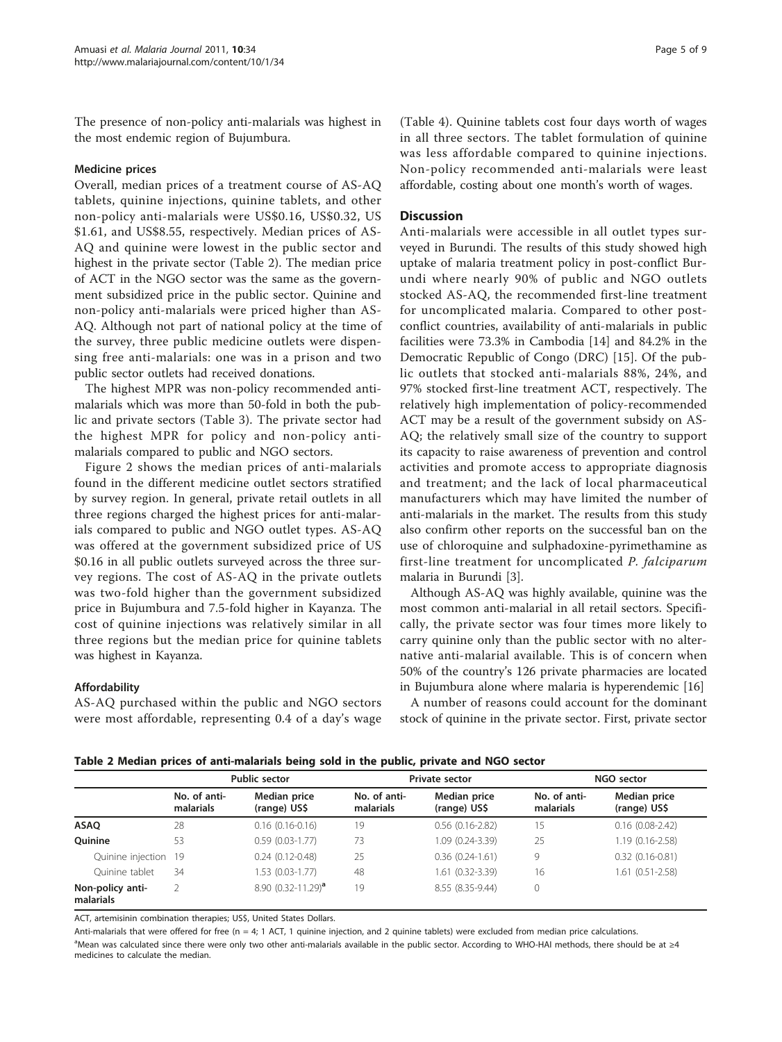The presence of non-policy anti-malarials was highest in the most endemic region of Bujumbura.

#### Medicine prices

Overall, median prices of a treatment course of AS-AQ tablets, quinine injections, quinine tablets, and other non-policy anti-malarials were US\$0.16, US\$0.32, US \$1.61, and US\$8.55, respectively. Median prices of AS-AQ and quinine were lowest in the public sector and highest in the private sector (Table 2). The median price of ACT in the NGO sector was the same as the government subsidized price in the public sector. Quinine and non-policy anti-malarials were priced higher than AS-AQ. Although not part of national policy at the time of the survey, three public medicine outlets were dispensing free anti-malarials: one was in a prison and two public sector outlets had received donations.

The highest MPR was non-policy recommended antimalarials which was more than 50-fold in both the public and private sectors (Table [3\)](#page-5-0). The private sector had the highest MPR for policy and non-policy antimalarials compared to public and NGO sectors.

Figure [2](#page-5-0) shows the median prices of anti-malarials found in the different medicine outlet sectors stratified by survey region. In general, private retail outlets in all three regions charged the highest prices for anti-malarials compared to public and NGO outlet types. AS-AQ was offered at the government subsidized price of US \$0.16 in all public outlets surveyed across the three survey regions. The cost of AS-AQ in the private outlets was two-fold higher than the government subsidized price in Bujumbura and 7.5-fold higher in Kayanza. The cost of quinine injections was relatively similar in all three regions but the median price for quinine tablets was highest in Kayanza.

## Affordability

AS-AQ purchased within the public and NGO sectors were most affordable, representing 0.4 of a day's wage

(Table [4](#page-5-0)). Quinine tablets cost four days worth of wages in all three sectors. The tablet formulation of quinine was less affordable compared to quinine injections. Non-policy recommended anti-malarials were least affordable, costing about one month's worth of wages.

## **Discussion**

Anti-malarials were accessible in all outlet types surveyed in Burundi. The results of this study showed high uptake of malaria treatment policy in post-conflict Burundi where nearly 90% of public and NGO outlets stocked AS-AQ, the recommended first-line treatment for uncomplicated malaria. Compared to other postconflict countries, availability of anti-malarials in public facilities were 73.3% in Cambodia [[14\]](#page-8-0) and 84.2% in the Democratic Republic of Congo (DRC) [\[15](#page-8-0)]. Of the public outlets that stocked anti-malarials 88%, 24%, and 97% stocked first-line treatment ACT, respectively. The relatively high implementation of policy-recommended ACT may be a result of the government subsidy on AS-AQ; the relatively small size of the country to support its capacity to raise awareness of prevention and control activities and promote access to appropriate diagnosis and treatment; and the lack of local pharmaceutical manufacturers which may have limited the number of anti-malarials in the market. The results from this study also confirm other reports on the successful ban on the use of chloroquine and sulphadoxine-pyrimethamine as first-line treatment for uncomplicated P. falciparum malaria in Burundi [[3\]](#page-7-0).

Although AS-AQ was highly available, quinine was the most common anti-malarial in all retail sectors. Specifically, the private sector was four times more likely to carry quinine only than the public sector with no alternative anti-malarial available. This is of concern when 50% of the country's 126 private pharmacies are located in Bujumbura alone where malaria is hyperendemic [[16\]](#page-8-0)

A number of reasons could account for the dominant stock of quinine in the private sector. First, private sector

Table 2 Median prices of anti-malarials being sold in the public, private and NGO sector

|                               | Public sector             |                              |                           | Private sector               | NGO sector                |                              |  |
|-------------------------------|---------------------------|------------------------------|---------------------------|------------------------------|---------------------------|------------------------------|--|
|                               | No. of anti-<br>malarials | Median price<br>(range) US\$ | No. of anti-<br>malarials | Median price<br>(range) US\$ | No. of anti-<br>malarials | Median price<br>(range) US\$ |  |
| ASAQ                          | 28                        | $0.16(0.16-0.16)$            | 19                        | $0.56$ $(0.16 - 2.82)$       | 15                        | $0.16$ $(0.08 - 2.42)$       |  |
| <b>Ouinine</b>                | 53                        | $0.59(0.03-1.77)$            | 73                        | 1.09 (0.24-3.39)             | 25                        | $1.19(0.16 - 2.58)$          |  |
| Quinine injection 19          |                           | $0.24(0.12-0.48)$            | 25                        | $0.36(0.24-1.61)$            | 9                         | $0.32$ $(0.16 - 0.81)$       |  |
| Ouinine tablet                | 34                        | 1.53 (0.03-1.77)             | 48                        | 1.61 (0.32-3.39)             | 16                        | 1.61 (0.51-2.58)             |  |
| Non-policy anti-<br>malarials |                           | 8.90 $(0.32 - 11.29)^a$      | 19                        | 8.55 (8.35-9.44)             | 0                         |                              |  |

ACT, artemisinin combination therapies; US\$, United States Dollars.

Anti-malarials that were offered for free (n = 4; 1 ACT, 1 quinine injection, and 2 quinine tablets) were excluded from median price calculations. a<br>Mean was calculated since there were only two other anti-malarials available in the public sector. According to WHO-HAI methods, there should be at ≥4 medicines to calculate the median.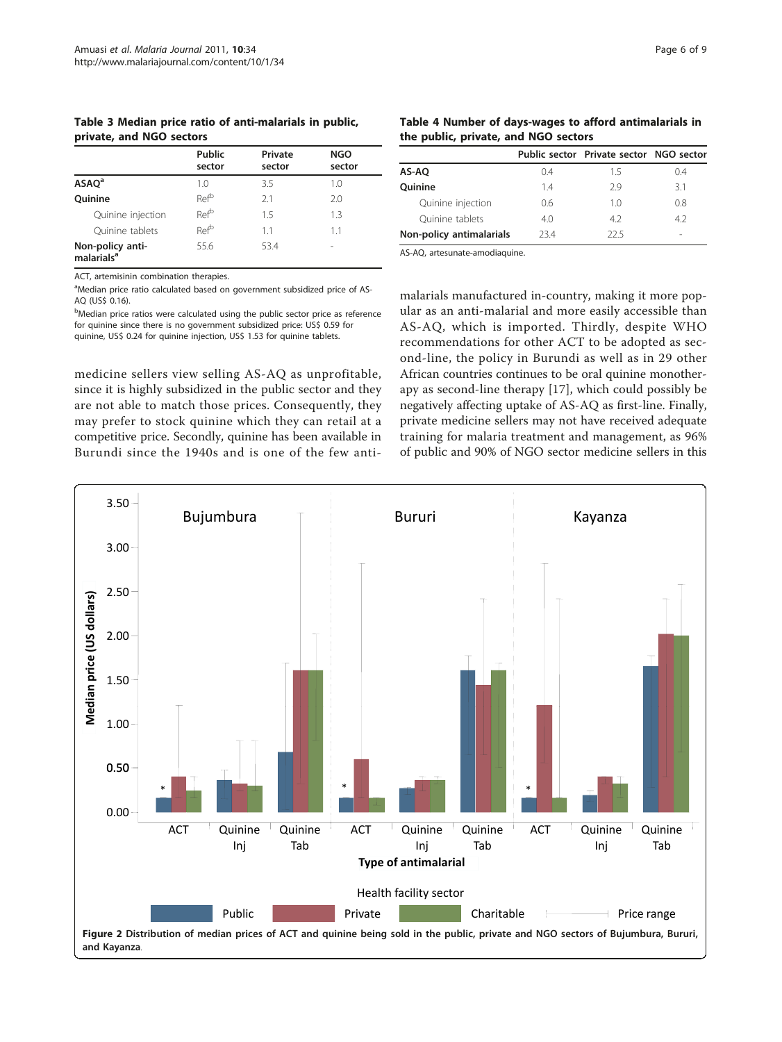<span id="page-5-0"></span>Table 3 Median price ratio of anti-malarials in public, private, and NGO sectors

|                                            | <b>Public</b><br>sector | Private<br>sector | <b>NGO</b><br>sector |
|--------------------------------------------|-------------------------|-------------------|----------------------|
| ASAO <sup>a</sup>                          | 1.0                     | 3.5               | 1.0                  |
| <b>Ouinine</b>                             | Ref <sup>b</sup>        | 21                | 2.0                  |
| Quinine injection                          | Ref <sup>b</sup>        | 1.5               | 1.3                  |
| Ouinine tablets                            | Refb                    | 1.1               | 1.1                  |
| Non-policy anti-<br>malarials <sup>a</sup> | 55.6                    | 53.4              |                      |

ACT, artemisinin combination therapies.

<sup>a</sup>Median price ratio calculated based on government subsidized price of AS-AQ (US\$ 0.16).

<sup>b</sup>Median price ratios were calculated using the public sector price as reference for quinine since there is no government subsidized price: US\$ 0.59 for quinine, US\$ 0.24 for quinine injection, US\$ 1.53 for quinine tablets.

medicine sellers view selling AS-AQ as unprofitable, since it is highly subsidized in the public sector and they are not able to match those prices. Consequently, they may prefer to stock quinine which they can retail at a competitive price. Secondly, quinine has been available in Burundi since the 1940s and is one of the few anti-

Table 4 Number of days-wages to afford antimalarials in the public, private, and NGO sectors

|                          |     | Public sector Private sector NGO sector |        |
|--------------------------|-----|-----------------------------------------|--------|
| AS-AO                    | 04  | 15                                      | 04     |
| <b>Ouinine</b>           | 14  | 29                                      | 31     |
| Quinine injection        | 0.6 | 10                                      | 0.8    |
| Ouinine tablets          | 4.0 | 4.2                                     | 4.2    |
| Non-policy antimalarials | 734 | 22.5                                    | $\sim$ |

AS-AQ, artesunate-amodiaquine.

malarials manufactured in-country, making it more popular as an anti-malarial and more easily accessible than AS-AQ, which is imported. Thirdly, despite WHO recommendations for other ACT to be adopted as second-line, the policy in Burundi as well as in 29 other African countries continues to be oral quinine monotherapy as second-line therapy [[17](#page-8-0)], which could possibly be negatively affecting uptake of AS-AQ as first-line. Finally, private medicine sellers may not have received adequate training for malaria treatment and management, as 96% of public and 90% of NGO sector medicine sellers in this

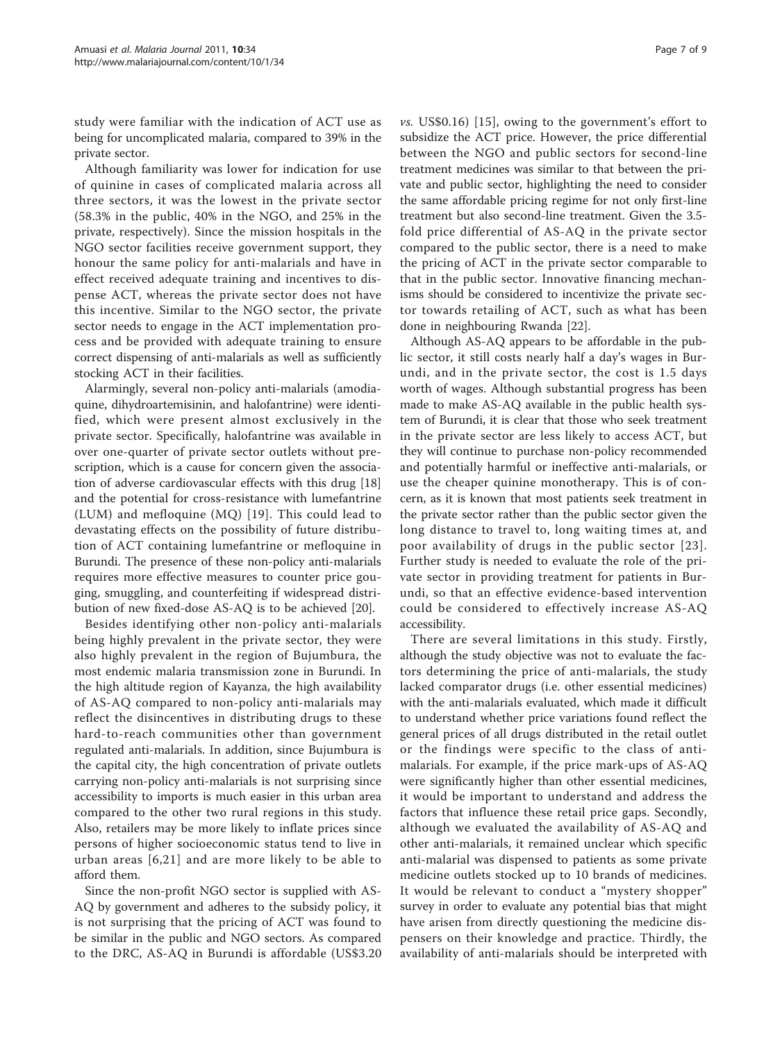study were familiar with the indication of ACT use as being for uncomplicated malaria, compared to 39% in the private sector.

Although familiarity was lower for indication for use of quinine in cases of complicated malaria across all three sectors, it was the lowest in the private sector (58.3% in the public, 40% in the NGO, and 25% in the private, respectively). Since the mission hospitals in the NGO sector facilities receive government support, they honour the same policy for anti-malarials and have in effect received adequate training and incentives to dispense ACT, whereas the private sector does not have this incentive. Similar to the NGO sector, the private sector needs to engage in the ACT implementation process and be provided with adequate training to ensure correct dispensing of anti-malarials as well as sufficiently stocking ACT in their facilities.

Alarmingly, several non-policy anti-malarials (amodiaquine, dihydroartemisinin, and halofantrine) were identified, which were present almost exclusively in the private sector. Specifically, halofantrine was available in over one-quarter of private sector outlets without prescription, which is a cause for concern given the association of adverse cardiovascular effects with this drug [[18](#page-8-0)] and the potential for cross-resistance with lumefantrine (LUM) and mefloquine (MQ) [[19\]](#page-8-0). This could lead to devastating effects on the possibility of future distribution of ACT containing lumefantrine or mefloquine in Burundi. The presence of these non-policy anti-malarials requires more effective measures to counter price gouging, smuggling, and counterfeiting if widespread distribution of new fixed-dose AS-AQ is to be achieved [[20\]](#page-8-0).

Besides identifying other non-policy anti-malarials being highly prevalent in the private sector, they were also highly prevalent in the region of Bujumbura, the most endemic malaria transmission zone in Burundi. In the high altitude region of Kayanza, the high availability of AS-AQ compared to non-policy anti-malarials may reflect the disincentives in distributing drugs to these hard-to-reach communities other than government regulated anti-malarials. In addition, since Bujumbura is the capital city, the high concentration of private outlets carrying non-policy anti-malarials is not surprising since accessibility to imports is much easier in this urban area compared to the other two rural regions in this study. Also, retailers may be more likely to inflate prices since persons of higher socioeconomic status tend to live in urban areas [[6](#page-7-0),[21\]](#page-8-0) and are more likely to be able to afford them.

Since the non-profit NGO sector is supplied with AS-AQ by government and adheres to the subsidy policy, it is not surprising that the pricing of ACT was found to be similar in the public and NGO sectors. As compared to the DRC, AS-AQ in Burundi is affordable (US\$3.20

 $\mathit{vs.}$  US\$0.16) [[15\]](#page-8-0), owing to the government's effort to subsidize the ACT price. However, the price differential between the NGO and public sectors for second-line treatment medicines was similar to that between the private and public sector, highlighting the need to consider the same affordable pricing regime for not only first-line treatment but also second-line treatment. Given the 3.5 fold price differential of AS-AQ in the private sector compared to the public sector, there is a need to make the pricing of ACT in the private sector comparable to that in the public sector. Innovative financing mechanisms should be considered to incentivize the private sector towards retailing of ACT, such as what has been done in neighbouring Rwanda [[22\]](#page-8-0).

Although AS-AQ appears to be affordable in the public sector, it still costs nearly half a day's wages in Burundi, and in the private sector, the cost is 1.5 days worth of wages. Although substantial progress has been made to make AS-AQ available in the public health system of Burundi, it is clear that those who seek treatment in the private sector are less likely to access ACT, but they will continue to purchase non-policy recommended and potentially harmful or ineffective anti-malarials, or use the cheaper quinine monotherapy. This is of concern, as it is known that most patients seek treatment in the private sector rather than the public sector given the long distance to travel to, long waiting times at, and poor availability of drugs in the public sector [[23\]](#page-8-0). Further study is needed to evaluate the role of the private sector in providing treatment for patients in Burundi, so that an effective evidence-based intervention could be considered to effectively increase AS-AQ accessibility.

There are several limitations in this study. Firstly, although the study objective was not to evaluate the factors determining the price of anti-malarials, the study lacked comparator drugs (i.e. other essential medicines) with the anti-malarials evaluated, which made it difficult to understand whether price variations found reflect the general prices of all drugs distributed in the retail outlet or the findings were specific to the class of antimalarials. For example, if the price mark-ups of AS-AQ were significantly higher than other essential medicines, it would be important to understand and address the factors that influence these retail price gaps. Secondly, although we evaluated the availability of AS-AQ and other anti-malarials, it remained unclear which specific anti-malarial was dispensed to patients as some private medicine outlets stocked up to 10 brands of medicines. It would be relevant to conduct a "mystery shopper" survey in order to evaluate any potential bias that might have arisen from directly questioning the medicine dispensers on their knowledge and practice. Thirdly, the availability of anti-malarials should be interpreted with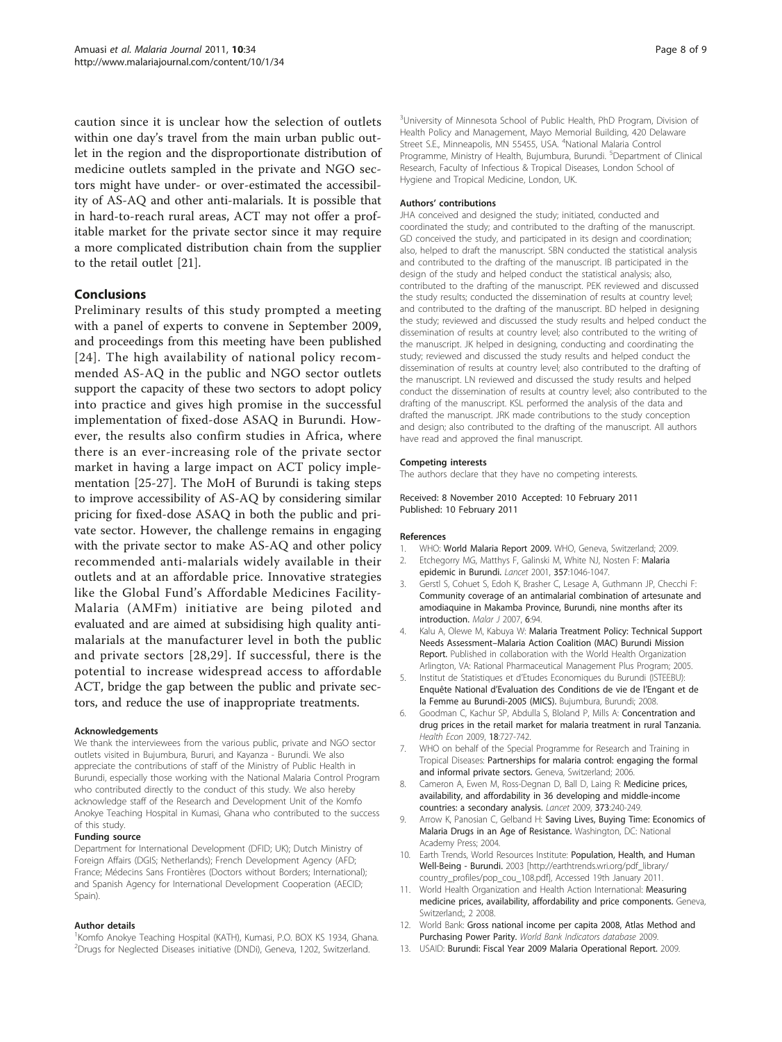<span id="page-7-0"></span>caution since it is unclear how the selection of outlets within one day's travel from the main urban public outlet in the region and the disproportionate distribution of medicine outlets sampled in the private and NGO sectors might have under- or over-estimated the accessibility of AS-AQ and other anti-malarials. It is possible that in hard-to-reach rural areas, ACT may not offer a profitable market for the private sector since it may require a more complicated distribution chain from the supplier to the retail outlet [\[21\]](#page-8-0).

### Conclusions

Preliminary results of this study prompted a meeting with a panel of experts to convene in September 2009, and proceedings from this meeting have been published [[24\]](#page-8-0). The high availability of national policy recommended AS-AQ in the public and NGO sector outlets support the capacity of these two sectors to adopt policy into practice and gives high promise in the successful implementation of fixed-dose ASAQ in Burundi. However, the results also confirm studies in Africa, where there is an ever-increasing role of the private sector market in having a large impact on ACT policy implementation [[25](#page-8-0)-[27\]](#page-8-0). The MoH of Burundi is taking steps to improve accessibility of AS-AQ by considering similar pricing for fixed-dose ASAQ in both the public and private sector. However, the challenge remains in engaging with the private sector to make AS-AQ and other policy recommended anti-malarials widely available in their outlets and at an affordable price. Innovative strategies like the Global Fund's Affordable Medicines Facility-Malaria (AMFm) initiative are being piloted and evaluated and are aimed at subsidising high quality antimalarials at the manufacturer level in both the public and private sectors [\[28,29\]](#page-8-0). If successful, there is the potential to increase widespread access to affordable ACT, bridge the gap between the public and private sectors, and reduce the use of inappropriate treatments.

#### Acknowledgements

We thank the interviewees from the various public, private and NGO sector outlets visited in Bujumbura, Bururi, and Kayanza - Burundi. We also appreciate the contributions of staff of the Ministry of Public Health in Burundi, especially those working with the National Malaria Control Program who contributed directly to the conduct of this study. We also hereby acknowledge staff of the Research and Development Unit of the Komfo Anokye Teaching Hospital in Kumasi, Ghana who contributed to the success of this study.

#### Funding source

Department for International Development (DFID; UK); Dutch Ministry of Foreign Affairs (DGIS; Netherlands); French Development Agency (AFD; France; Médecins Sans Frontières (Doctors without Borders; International); and Spanish Agency for International Development Cooperation (AECID; Spain).

#### Author details

<sup>1</sup> Komfo Anokye Teaching Hospital (KATH), Kumasi, P.O. BOX KS 1934, Ghana. 2 Drugs for Neglected Diseases initiative (DNDi), Geneva, 1202, Switzerland.

<sup>3</sup>University of Minnesota School of Public Health, PhD Program, Division of Health Policy and Management, Mayo Memorial Building, 420 Delaware Street S.E., Minneapolis, MN 55455, USA. <sup>4</sup>National Malaria Control Programme, Ministry of Health, Bujumbura, Burundi. <sup>5</sup>Department of Clinical Research, Faculty of Infectious & Tropical Diseases, London School of Hygiene and Tropical Medicine, London, UK.

#### Authors' contributions

JHA conceived and designed the study; initiated, conducted and coordinated the study; and contributed to the drafting of the manuscript. GD conceived the study, and participated in its design and coordination; also, helped to draft the manuscript. SBN conducted the statistical analysis and contributed to the drafting of the manuscript. IB participated in the design of the study and helped conduct the statistical analysis; also, contributed to the drafting of the manuscript. PEK reviewed and discussed the study results; conducted the dissemination of results at country level; and contributed to the drafting of the manuscript. BD helped in designing the study; reviewed and discussed the study results and helped conduct the dissemination of results at country level; also contributed to the writing of the manuscript. JK helped in designing, conducting and coordinating the study; reviewed and discussed the study results and helped conduct the dissemination of results at country level; also contributed to the drafting of the manuscript. LN reviewed and discussed the study results and helped conduct the dissemination of results at country level; also contributed to the drafting of the manuscript. KSL performed the analysis of the data and drafted the manuscript. JRK made contributions to the study conception and design; also contributed to the drafting of the manuscript. All authors have read and approved the final manuscript.

#### Competing interests

The authors declare that they have no competing interests.

#### Received: 8 November 2010 Accepted: 10 February 2011 Published: 10 February 2011

#### References

- 1. WHO: World Malaria Report 2009. WHO, Geneva, Switzerland; 2009.
- 2. Etchegorry MG, Matthys F, Galinski M, White NJ, Nosten F: [Malaria](http://www.ncbi.nlm.nih.gov/pubmed/11293628?dopt=Abstract) [epidemic in Burundi.](http://www.ncbi.nlm.nih.gov/pubmed/11293628?dopt=Abstract) Lancet 2001, 357:1046-1047.
- 3. Gerstl S, Cohuet S, Edoh K, Brasher C, Lesage A, Guthmann JP, Checchi F: [Community coverage of an antimalarial combination of artesunate and](http://www.ncbi.nlm.nih.gov/pubmed/17640357?dopt=Abstract) [amodiaquine in Makamba Province, Burundi, nine months after its](http://www.ncbi.nlm.nih.gov/pubmed/17640357?dopt=Abstract) [introduction.](http://www.ncbi.nlm.nih.gov/pubmed/17640357?dopt=Abstract) Malar J 2007, 6:94.
- Kalu A, Olewe M, Kabuya W: Malaria Treatment Policy: Technical Support Needs Assessment–Malaria Action Coalition (MAC) Burundi Mission Report. Published in collaboration with the World Health Organization Arlington, VA: Rational Pharmaceutical Management Plus Program; 2005.
- 5. Institut de Statistiques et d'Etudes Economiques du Burundi (ISTEEBU): Enquête National d'Evaluation des Conditions de vie de l'Engant et de la Femme au Burundi-2005 (MICS). Bujumbura, Burundi; 2008.
- 6. Goodman C, Kachur SP, Abdulla S, Bloland P, Mills A: [Concentration and](http://www.ncbi.nlm.nih.gov/pubmed/19301420?dopt=Abstract) [drug prices in the retail market for malaria treatment in rural Tanzania.](http://www.ncbi.nlm.nih.gov/pubmed/19301420?dopt=Abstract) Health Econ 2009, 18:727-742.
- 7. WHO on behalf of the Special Programme for Research and Training in Tropical Diseases: Partnerships for malaria control: engaging the formal and informal private sectors. Geneva, Switzerland; 2006.
- 8. Cameron A, Ewen M, Ross-Degnan D, Ball D, Laing R: [Medicine prices,](http://www.ncbi.nlm.nih.gov/pubmed/19042012?dopt=Abstract) [availability, and affordability in 36 developing and middle-income](http://www.ncbi.nlm.nih.gov/pubmed/19042012?dopt=Abstract) [countries: a secondary analysis.](http://www.ncbi.nlm.nih.gov/pubmed/19042012?dopt=Abstract) Lancet 2009, 373:240-249.
- 9. Arrow K, Panosian C, Gelband H: Saving Lives, Buying Time: Economics of Malaria Drugs in an Age of Resistance. Washington, DC: National Academy Press; 2004.
- 10. Earth Trends, World Resources Institute: Population, Health, and Human Well-Being - Burundi. 2003 [\[http://earthtrends.wri.org/pdf\\_library/](http://earthtrends.wri.org/pdf_library/country_profiles/pop_cou_108.pdf) [country\\_profiles/pop\\_cou\\_108.pdf\]](http://earthtrends.wri.org/pdf_library/country_profiles/pop_cou_108.pdf), Accessed 19th January 2011.
- 11. World Health Organization and Health Action International: Measuring medicine prices, availability, affordability and price components. Geneva, Switzerland;, 2 2008.
- 12. World Bank: Gross national income per capita 2008, Atlas Method and Purchasing Power Parity. World Bank Indicators database 2009
- 13. USAID: Burundi: Fiscal Year 2009 Malaria Operational Report. 2009.